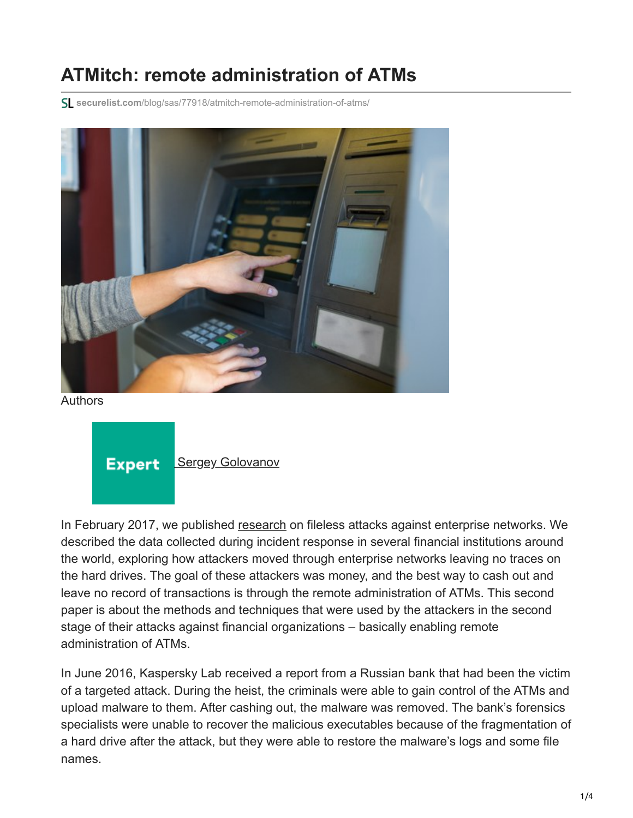## **ATMitch: remote administration of ATMs**

**securelist.com**[/blog/sas/77918/atmitch-remote-administration-of-atms/](https://securelist.com/blog/sas/77918/atmitch-remote-administration-of-atms/)



Authors

**Expert** 

**[Sergey Golovanov](https://securelist.com/author/sergeygo/)** 

In February 2017, we published [research](https://securelist.com/fileless-attacks-against-enterprise-networks/77403/) on fileless attacks against enterprise networks. We described the data collected during incident response in several financial institutions around the world, exploring how attackers moved through enterprise networks leaving no traces on the hard drives. The goal of these attackers was money, and the best way to cash out and leave no record of transactions is through the remote administration of ATMs. This second paper is about the methods and techniques that were used by the attackers in the second stage of their attacks against financial organizations – basically enabling remote administration of ATMs.

In June 2016, Kaspersky Lab received a report from a Russian bank that had been the victim of a targeted attack. During the heist, the criminals were able to gain control of the ATMs and upload malware to them. After cashing out, the malware was removed. The bank's forensics specialists were unable to recover the malicious executables because of the fragmentation of a hard drive after the attack, but they were able to restore the malware's logs and some file names.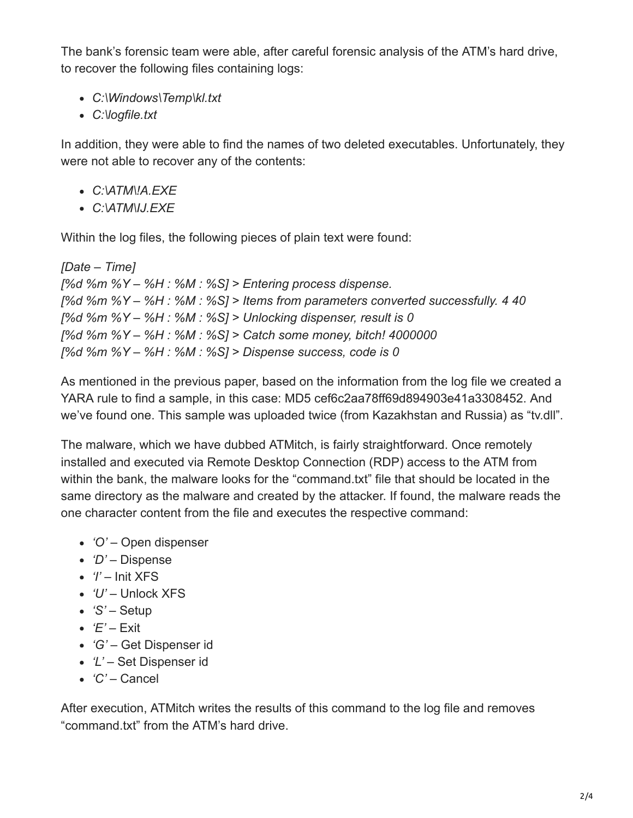The bank's forensic team were able, after careful forensic analysis of the ATM's hard drive, to recover the following files containing logs:

- *C:\Windows\Temp\kl.txt*
- *C:\logfile.txt*

In addition, they were able to find the names of two deleted executables. Unfortunately, they were not able to recover any of the contents:

- *C:\ATM\!A.EXE*
- *C:\ATM\IJ.EXE*

Within the log files, the following pieces of plain text were found:

```
[Date – Time]
[%d %m %Y – %H : %M : %S] > Entering process dispense.
[%d %m %Y – %H : %M : %S] > Items from parameters converted successfully. 4 40
[%d %m %Y – %H : %M : %S] > Unlocking dispenser, result is 0
[%d %m %Y – %H : %M : %S] > Catch some money, bitch! 4000000
[%d %m %Y – %H : %M : %S] > Dispense success, code is 0
```
As mentioned in the previous paper, based on the information from the log file we created a YARA rule to find a sample, in this case: MD5 cef6c2aa78ff69d894903e41a3308452. And we've found one. This sample was uploaded twice (from Kazakhstan and Russia) as "tv.dll".

The malware, which we have dubbed ATMitch, is fairly straightforward. Once remotely installed and executed via Remote Desktop Connection (RDP) access to the ATM from within the bank, the malware looks for the "command.txt" file that should be located in the same directory as the malware and created by the attacker. If found, the malware reads the one character content from the file and executes the respective command:

- *'O'* Open dispenser
- *'D'* Dispense
- *'I'* Init XFS
- *'U'* Unlock XFS
- *'S'* Setup
- $\bullet$  *'E'* Exit
- *'G'* Get Dispenser id
- *'L'* Set Dispenser id
- *'C'* Cancel

After execution, ATMitch writes the results of this command to the log file and removes "command.txt" from the ATM's hard drive.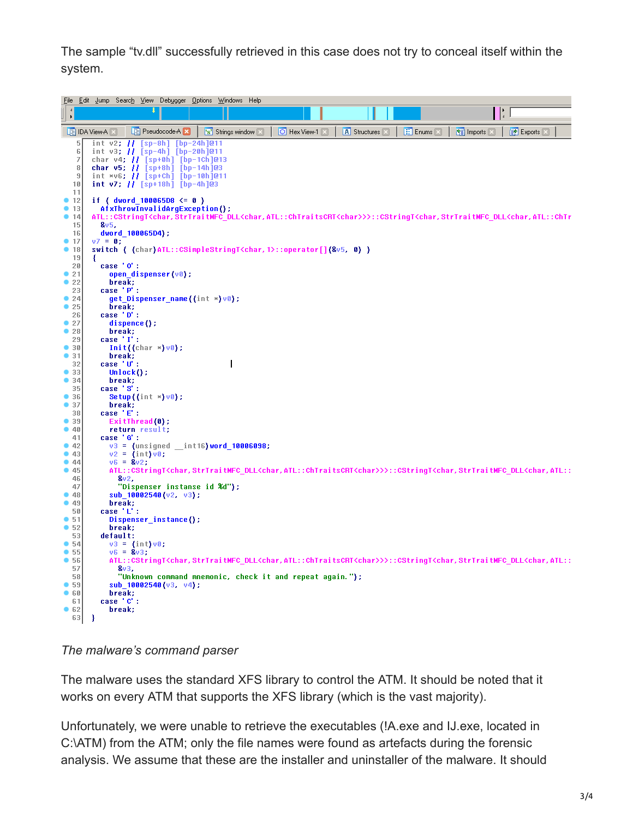The sample "tv.dll" successfully retrieved in this case does not try to conceal itself within the system.

|              | File Edit Jump<br>Help<br>Searc <u>h V</u> iew Deb <u>ugger O</u> ptions<br><u>W</u> indows                                                                                                                            |
|--------------|------------------------------------------------------------------------------------------------------------------------------------------------------------------------------------------------------------------------|
|              | HH                                                                                                                                                                                                                     |
| $\mathbf{F}$ |                                                                                                                                                                                                                        |
|              | $\boxed{1}$ Enums $\boxed{2}$<br>图 Exports 区<br>LE Pseudocode A X<br>A Structures<br><b>YEL</b> Imports <b>X</b><br><b>LE IDA View-A</b> ⊠<br>'s' Strings window<br>O Hex View-1                                       |
|              | int v2; // [sp-8h] [bp-24h]@11<br>5                                                                                                                                                                                    |
|              | int v3; // [sp-4h] [bp-20h]@11<br>6                                                                                                                                                                                    |
|              | 7<br>char v4; // [sp+0h] [bp-1Ch]@13                                                                                                                                                                                   |
|              | char $v5$ ; $  $ [sp+8h] [bp-14h]@3<br>8<br>9                                                                                                                                                                          |
| 10           | int *v6; // [sp+Ch] [bp-10h]@11<br>int $v7$ ; // [sp+18h] [bp-4h]@3                                                                                                                                                    |
| 11           |                                                                                                                                                                                                                        |
| 12           | if ( $dword_100065D8 \le 0$ )                                                                                                                                                                                          |
| • 13         | AfxThrowInvalidArgException();                                                                                                                                                                                         |
| 14           | ATL::CStringT <char,strtraitmfc_dll<char,atl::chtraitscrt<char>&gt;&gt;::CStringT<char,strtraitmfc_dll<char,atl::chtr< th=""></char,strtraitmfc_dll<char,atl::chtr<></char,strtraitmfc_dll<char,atl::chtraitscrt<char> |
| 15<br>16     | 8v5.<br>dword 100065D4);                                                                                                                                                                                               |
| 917          | $v7 = 0;$                                                                                                                                                                                                              |
| ۰<br>18      | switch ( (char) ATL::CSimpleStringT <char, 1="">::operator[](&amp;v5, 0) )</char,>                                                                                                                                     |
| 19           | х.                                                                                                                                                                                                                     |
| 20           | case '0':                                                                                                                                                                                                              |
| 21<br>22     | open_dispenser(v0);<br>break;                                                                                                                                                                                          |
| 23           | case 'P':                                                                                                                                                                                                              |
| 24           | <b>get_Dispenser_name((int *)v0);</b>                                                                                                                                                                                  |
| 25           | break:                                                                                                                                                                                                                 |
| 26           | case 'D':                                                                                                                                                                                                              |
| •27<br>28    | $dispence()$ ;<br>break;                                                                                                                                                                                               |
| 29           | case 'I':                                                                                                                                                                                                              |
| •30          | $Init((char *) \vee 0)$ ;                                                                                                                                                                                              |
| 31           | break;                                                                                                                                                                                                                 |
| 32           | I<br>case 'U' :                                                                                                                                                                                                        |
| 33<br>34     | $Unlock()$ ;<br>break:                                                                                                                                                                                                 |
| 35           | case 'S':                                                                                                                                                                                                              |
| 36           | Setup $(\text{int} \times) \vee 0$ ;                                                                                                                                                                                   |
| 37           | break:                                                                                                                                                                                                                 |
| 38           | case 'E':                                                                                                                                                                                                              |
| 39<br>40     | ExitThread $(0)$ ;<br>return result;                                                                                                                                                                                   |
| 41           | case 'G':                                                                                                                                                                                                              |
| •42          | $v3 =$ (unsigned __int16) word_10006098;                                                                                                                                                                               |
| •43          | $v2 = (int)v0;$                                                                                                                                                                                                        |
| •44          | $v6 = 8v2$ ;                                                                                                                                                                                                           |
| 45<br>46     | ATL::CStringT <char,strtraitmfc_dll<char,atl::chtraitscrt<char>&gt;&gt;::CStringT<char,strtraitmfc_dll<char,atl::<br>8v2,</char,strtraitmfc_dll<char,atl::<br></char,strtraitmfc_dll<char,atl::chtraitscrt<char>       |
| 47           | "Dispenser instanse id %d");                                                                                                                                                                                           |
| 48           | sub 10002540(v2, v3);                                                                                                                                                                                                  |
| 49           | break:                                                                                                                                                                                                                 |
| 50           | case 'L' :                                                                                                                                                                                                             |
| 51<br>52     | Dispenser_instance();<br>break:                                                                                                                                                                                        |
| 53           | default:                                                                                                                                                                                                               |
| •54          | $v3 = (int)v8;$                                                                                                                                                                                                        |
| 55           | $v6 = 8v3$ ;                                                                                                                                                                                                           |
| 56           | ATL::CStringT <char,strtraitmfc_dll<char,atl::chtraitscrt<char>&gt;&gt;::CStringT<char,strtraitmfc_dll<char,atl::< th=""></char,strtraitmfc_dll<char,atl::<></char,strtraitmfc_dll<char,atl::chtraitscrt<char>         |
| 57<br>58     | &v3.<br>"Unknown command mnemonic, check it and repeat again.");                                                                                                                                                       |
| 59           | $sub_1$ 10002540 (v3, v4);                                                                                                                                                                                             |
| 60           | break;                                                                                                                                                                                                                 |
| 61           | case 'C' :                                                                                                                                                                                                             |
| 62           | break;                                                                                                                                                                                                                 |
| 63           | 3                                                                                                                                                                                                                      |

*The malware's command parser*

The malware uses the standard XFS library to control the ATM. It should be noted that it works on every ATM that supports the XFS library (which is the vast majority).

Unfortunately, we were unable to retrieve the executables (!A.exe and IJ.exe, located in C:\ATM) from the ATM; only the file names were found as artefacts during the forensic analysis. We assume that these are the installer and uninstaller of the malware. It should